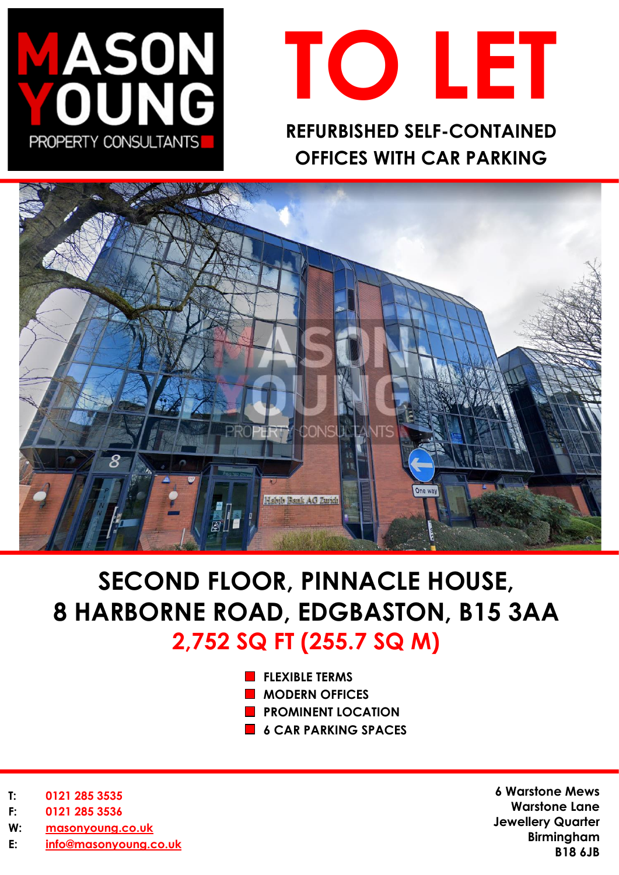



**OFFICES WITH CAR PARKING** 



# **SECOND FLOOR, PINNACLE HOUSE, 8 HARBORNE ROAD, EDGBASTON, B15 3AA 2,752 SQ FT (255.7 SQ M)**

- **FLEXIBLE TERMS**
- **MODERN OFFICES**
- **PROMINENT LOCATION**
- **6 CAR PARKING SPACES**

- **T: 0121 285 3535**
- **F: 0121 285 3536**
- **W: [masonyoung.co.uk](http://www.masonyoung.co.uk/)**
- **E: [info@masonyoung.co.uk](mailto:info@masonyoung.co.uk)**

**6 Warstone Mews Warstone Lane Jewellery Quarter Birmingham B18 6JB**